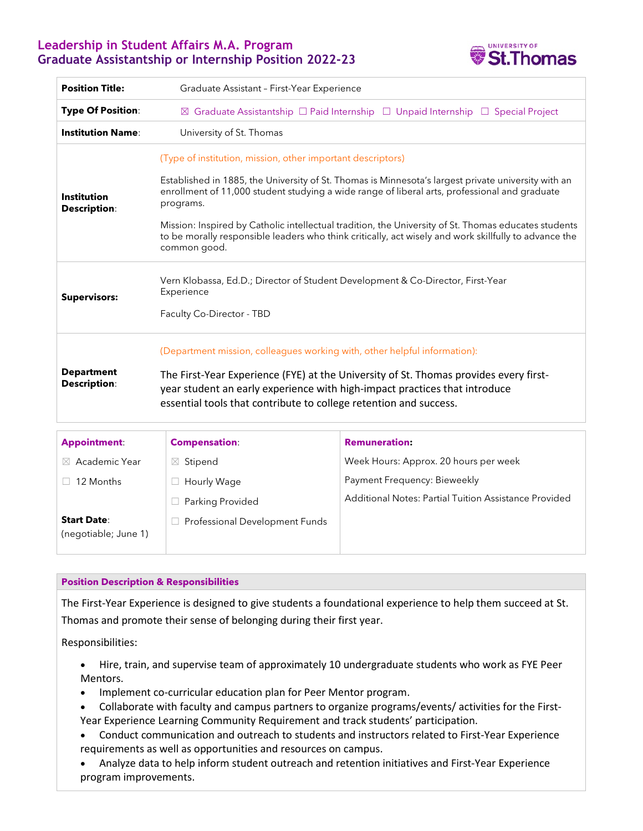# **Leadership in Student Affairs M.A. Program Graduate Assistantship or Internship Position 2022-23**



| <b>Position Title:</b>                    | Graduate Assistant - First-Year Experience                                                                                                                                                                                                                                                                                                                                                                                                                                                                        |  |  |  |
|-------------------------------------------|-------------------------------------------------------------------------------------------------------------------------------------------------------------------------------------------------------------------------------------------------------------------------------------------------------------------------------------------------------------------------------------------------------------------------------------------------------------------------------------------------------------------|--|--|--|
| <b>Type Of Position:</b>                  | ⊠ Graduate Assistantship $\square$ Paid Internship $\square$ Unpaid Internship $\square$ Special Project                                                                                                                                                                                                                                                                                                                                                                                                          |  |  |  |
| <b>Institution Name:</b>                  | University of St. Thomas                                                                                                                                                                                                                                                                                                                                                                                                                                                                                          |  |  |  |
| <b>Institution</b><br><b>Description:</b> | (Type of institution, mission, other important descriptors)<br>Established in 1885, the University of St. Thomas is Minnesota's largest private university with an<br>enrollment of 11,000 student studying a wide range of liberal arts, professional and graduate<br>programs.<br>Mission: Inspired by Catholic intellectual tradition, the University of St. Thomas educates students<br>to be morally responsible leaders who think critically, act wisely and work skillfully to advance the<br>common good. |  |  |  |
| <b>Supervisors:</b>                       | Vern Klobassa, Ed.D.; Director of Student Development & Co-Director, First-Year<br>Experience<br>Faculty Co-Director - TBD                                                                                                                                                                                                                                                                                                                                                                                        |  |  |  |
| <b>Department</b><br><b>Description:</b>  | (Department mission, colleagues working with, other helpful information):<br>The First-Year Experience (FYE) at the University of St. Thomas provides every first-<br>year student an early experience with high-impact practices that introduce<br>essential tools that contribute to college retention and success.                                                                                                                                                                                             |  |  |  |

| <b>Appointment:</b>                        | <b>Compensation</b>            | <b>Remuneration:</b>                                  |
|--------------------------------------------|--------------------------------|-------------------------------------------------------|
| $\boxtimes$ Academic Year                  | Stipend<br>$\boxtimes$         | Week Hours: Approx. 20 hours per week                 |
| 12 Months                                  | Hourly Wage                    | Payment Frequency: Bieweekly                          |
|                                            | <b>Parking Provided</b>        | Additional Notes: Partial Tuition Assistance Provided |
| <b>Start Date:</b><br>(negotiable; June 1) | Professional Development Funds |                                                       |

### **Position Description & Responsibilities**

The First-Year Experience is designed to give students a foundational experience to help them succeed at St. Thomas and promote their sense of belonging during their first year.

Responsibilities:

- Hire, train, and supervise team of approximately 10 undergraduate students who work as FYE Peer Mentors.
- Implement co-curricular education plan for Peer Mentor program.
- Collaborate with faculty and campus partners to organize programs/events/ activities for the First-Year Experience Learning Community Requirement and track students' participation.
- Conduct communication and outreach to students and instructors related to First-Year Experience requirements as well as opportunities and resources on campus.
- Analyze data to help inform student outreach and retention initiatives and First-Year Experience program improvements.